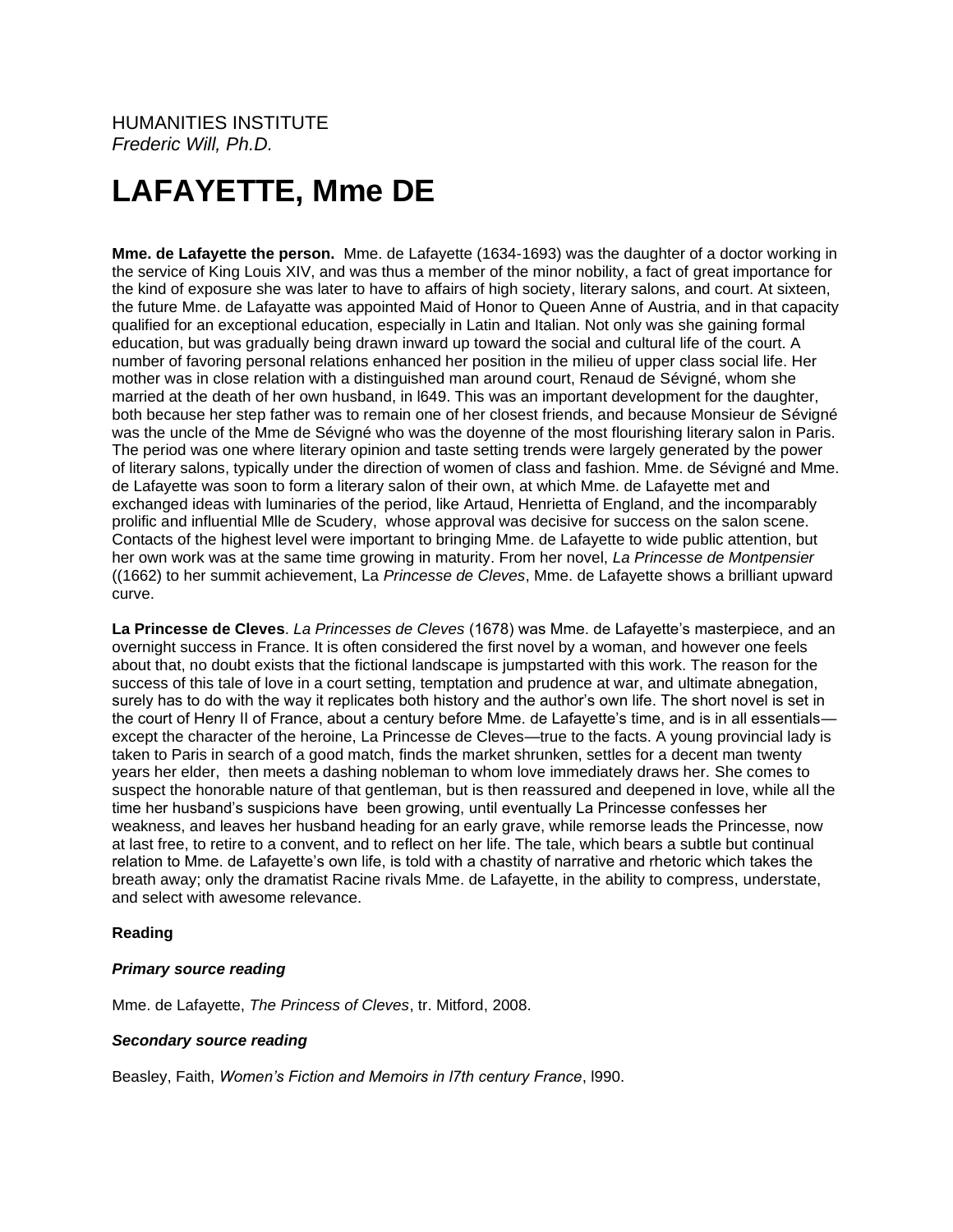HUMANITIES INSTITUTE *Frederic Will, Ph.D.*

# **LAFAYETTE, Mme DE**

**Mme. de Lafayette the person.** Mme. de Lafayette (1634-1693) was the daughter of a doctor working in the service of King Louis XIV, and was thus a member of the minor nobility, a fact of great importance for the kind of exposure she was later to have to affairs of high society, literary salons, and court. At sixteen, the future Mme. de Lafayatte was appointed Maid of Honor to Queen Anne of Austria, and in that capacity qualified for an exceptional education, especially in Latin and Italian. Not only was she gaining formal education, but was gradually being drawn inward up toward the social and cultural life of the court. A number of favoring personal relations enhanced her position in the milieu of upper class social life. Her mother was in close relation with a distinguished man around court, Renaud de Sévigné, whom she married at the death of her own husband, in l649. This was an important development for the daughter, both because her step father was to remain one of her closest friends, and because Monsieur de Sévigné was the uncle of the Mme de Sévigné who was the doyenne of the most flourishing literary salon in Paris. The period was one where literary opinion and taste setting trends were largely generated by the power of literary salons, typically under the direction of women of class and fashion. Mme. de Sévigné and Mme. de Lafayette was soon to form a literary salon of their own, at which Mme. de Lafayette met and exchanged ideas with luminaries of the period, like Artaud, Henrietta of England, and the incomparably prolific and influential Mlle de Scudery, whose approval was decisive for success on the salon scene. Contacts of the highest level were important to bringing Mme. de Lafayette to wide public attention, but her own work was at the same time growing in maturity. From her novel, *La Princesse de Montpensier* ((1662) to her summit achievement, La *Princesse de Cleves*, Mme. de Lafayette shows a brilliant upward curve.

**La Princesse de Cleves**. *La Princesses de Cleves* (1678) was Mme. de Lafayette's masterpiece, and an overnight success in France. It is often considered the first novel by a woman, and however one feels about that, no doubt exists that the fictional landscape is jumpstarted with this work. The reason for the success of this tale of love in a court setting, temptation and prudence at war, and ultimate abnegation, surely has to do with the way it replicates both history and the author's own life. The short novel is set in the court of Henry II of France, about a century before Mme. de Lafayette's time, and is in all essentials except the character of the heroine, La Princesse de Cleves—true to the facts. A young provincial lady is taken to Paris in search of a good match, finds the market shrunken, settles for a decent man twenty years her elder, then meets a dashing nobleman to whom love immediately draws her. She comes to suspect the honorable nature of that gentleman, but is then reassured and deepened in love, while all the time her husband's suspicions have been growing, until eventually La Princesse confesses her weakness, and leaves her husband heading for an early grave, while remorse leads the Princesse, now at last free, to retire to a convent, and to reflect on her life. The tale, which bears a subtle but continual relation to Mme. de Lafayette's own life, is told with a chastity of narrative and rhetoric which takes the breath away; only the dramatist Racine rivals Mme. de Lafayette, in the ability to compress, understate, and select with awesome relevance.

# **Reading**

#### *Primary source reading*

Mme. de Lafayette, *The Princess of Cleves*, tr. Mitford, 2008.

#### *Secondary source reading*

Beasley, Faith, *Women's Fiction and Memoirs in l7th century France*, l990.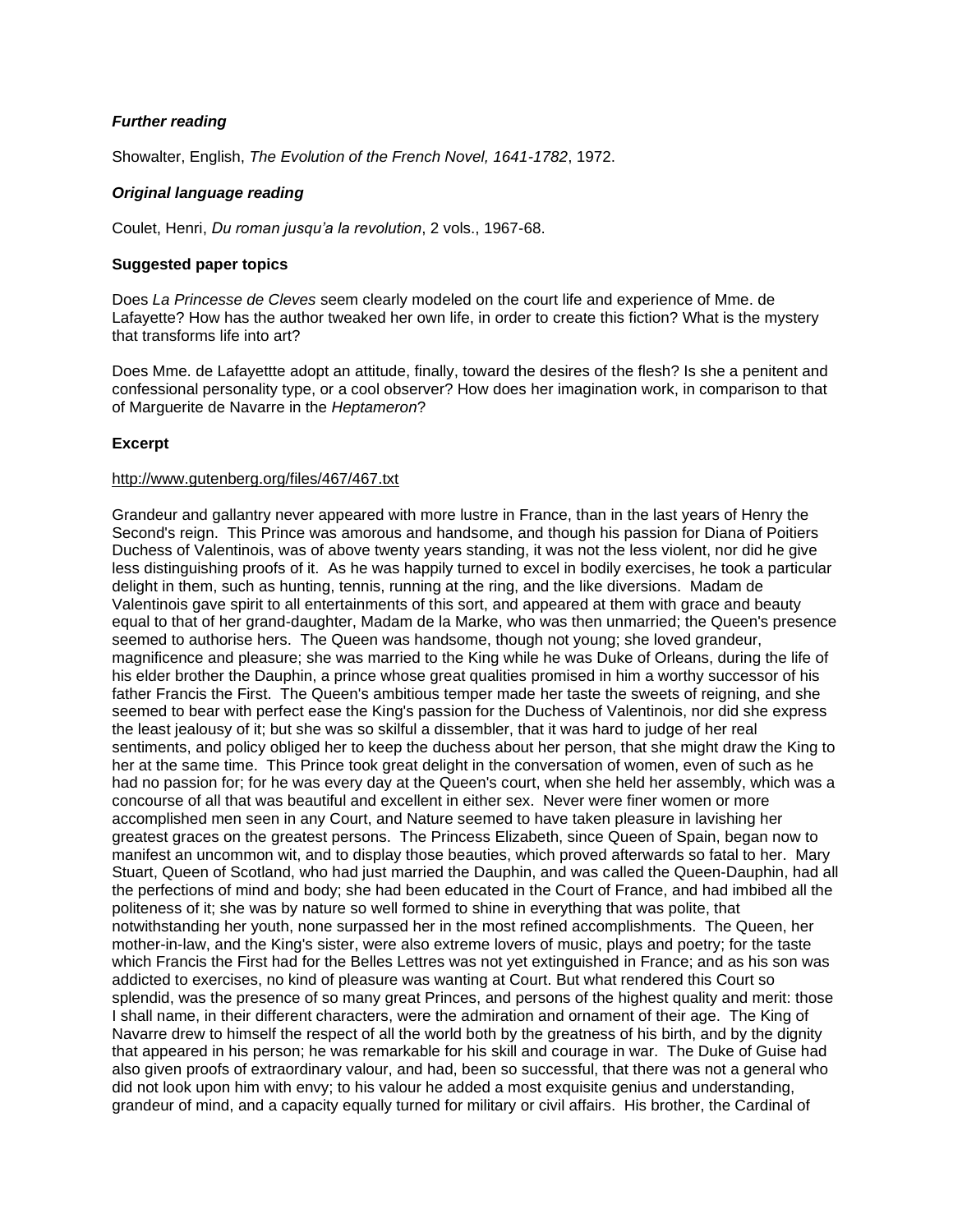# *Further reading*

Showalter, English, *The Evolution of the French Novel, 1641-1782*, 1972.

# *Original language reading*

Coulet, Henri, *Du roman jusqu'a la revolution*, 2 vols., 1967-68.

# **Suggested paper topics**

Does *La Princesse de Cleves* seem clearly modeled on the court life and experience of Mme. de Lafayette? How has the author tweaked her own life, in order to create this fiction? What is the mystery that transforms life into art?

Does Mme. de Lafayettte adopt an attitude, finally, toward the desires of the flesh? Is she a penitent and confessional personality type, or a cool observer? How does her imagination work, in comparison to that of Marguerite de Navarre in the *Heptameron*?

# **Excerpt**

### <http://www.gutenberg.org/files/467/467.txt>

Grandeur and gallantry never appeared with more lustre in France, than in the last years of Henry the Second's reign. This Prince was amorous and handsome, and though his passion for Diana of Poitiers Duchess of Valentinois, was of above twenty years standing, it was not the less violent, nor did he give less distinguishing proofs of it. As he was happily turned to excel in bodily exercises, he took a particular delight in them, such as hunting, tennis, running at the ring, and the like diversions. Madam de Valentinois gave spirit to all entertainments of this sort, and appeared at them with grace and beauty equal to that of her grand-daughter, Madam de la Marke, who was then unmarried; the Queen's presence seemed to authorise hers. The Queen was handsome, though not young; she loved grandeur, magnificence and pleasure; she was married to the King while he was Duke of Orleans, during the life of his elder brother the Dauphin, a prince whose great qualities promised in him a worthy successor of his father Francis the First. The Queen's ambitious temper made her taste the sweets of reigning, and she seemed to bear with perfect ease the King's passion for the Duchess of Valentinois, nor did she express the least jealousy of it; but she was so skilful a dissembler, that it was hard to judge of her real sentiments, and policy obliged her to keep the duchess about her person, that she might draw the King to her at the same time. This Prince took great delight in the conversation of women, even of such as he had no passion for; for he was every day at the Queen's court, when she held her assembly, which was a concourse of all that was beautiful and excellent in either sex. Never were finer women or more accomplished men seen in any Court, and Nature seemed to have taken pleasure in lavishing her greatest graces on the greatest persons. The Princess Elizabeth, since Queen of Spain, began now to manifest an uncommon wit, and to display those beauties, which proved afterwards so fatal to her. Mary Stuart, Queen of Scotland, who had just married the Dauphin, and was called the Queen-Dauphin, had all the perfections of mind and body; she had been educated in the Court of France, and had imbibed all the politeness of it; she was by nature so well formed to shine in everything that was polite, that notwithstanding her youth, none surpassed her in the most refined accomplishments. The Queen, her mother-in-law, and the King's sister, were also extreme lovers of music, plays and poetry; for the taste which Francis the First had for the Belles Lettres was not yet extinguished in France; and as his son was addicted to exercises, no kind of pleasure was wanting at Court. But what rendered this Court so splendid, was the presence of so many great Princes, and persons of the highest quality and merit: those I shall name, in their different characters, were the admiration and ornament of their age. The King of Navarre drew to himself the respect of all the world both by the greatness of his birth, and by the dignity that appeared in his person; he was remarkable for his skill and courage in war. The Duke of Guise had also given proofs of extraordinary valour, and had, been so successful, that there was not a general who did not look upon him with envy; to his valour he added a most exquisite genius and understanding, grandeur of mind, and a capacity equally turned for military or civil affairs. His brother, the Cardinal of